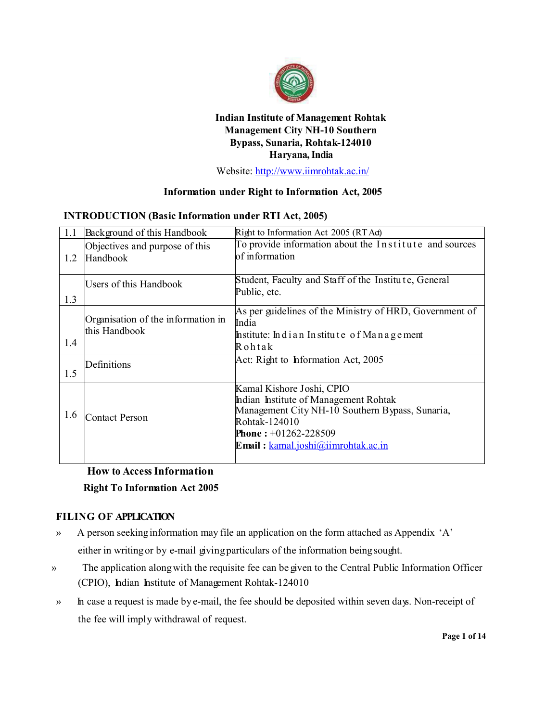

# **Indian Institute of Management Rohtak Management City NH-10 Southern Bypass, Sunaria, Rohtak-124010 Haryana, India**

Website: http://www.iimrohtak.ac.in/

## **Information under Right to Information Act, 2005**

### **INTRODUCTION (Basic Information under RTI Act, 2005)**

| 1.1                           | Background of this Handbook                         | Right to Information Act 2005 (RT Ad)                                                                                                                                                                         |
|-------------------------------|-----------------------------------------------------|---------------------------------------------------------------------------------------------------------------------------------------------------------------------------------------------------------------|
| 1.2                           | Objectives and purpose of this<br>Handbook          | To provide information about the Institute and sources<br>of information                                                                                                                                      |
| Users of this Handbook<br>1.3 |                                                     | Student, Faculty and Staff of the Institute, General<br>Public, etc.                                                                                                                                          |
| 1.4                           | Organisation of the information in<br>this Handbook | As per guidelines of the Ministry of HRD, Government of<br>India<br>Institute: Indian Institute of Management<br>Rohtak                                                                                       |
| 1.5                           | Definitions                                         | Act: Right to Information Act, 2005                                                                                                                                                                           |
| 1.6                           | Contact Person                                      | Kamal Kishore Joshi, CPIO<br>Indian Institute of Management Rohtak<br>Management City NH-10 Southern Bypass, Sunaria,<br>Rohtak-124010<br><b>Phone:</b> $+01262-228509$<br>Email: kamal.joshi@iimrohtak.ac.in |

# **How to Access Information Right To Information Act 2005**

## **FILING OF APPLICATION**

- » A person seeking information may file an application on the form attached as Appendix 'A' either in writing or by e-mail giving particulars of the information being sought.
- » The application along with the requisite fee can be given to the Central Public Information Officer (CPIO), Indian Institute of Management Rohtak-124010
- » In case a request is made by e-mail, the fee should be deposited within seven days. Non-receipt of the fee will imply withdrawal of request.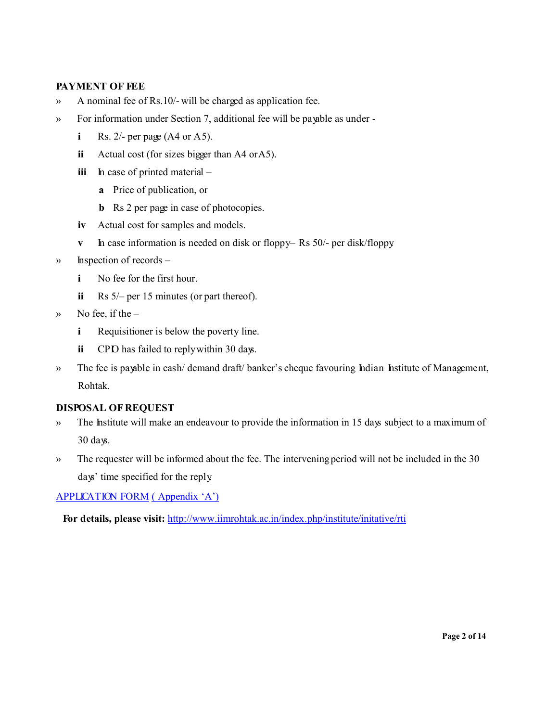## **PAYMENT OF FEE**

- » A nominal fee of Rs.10/- will be charged as application fee.
- » For information under Section 7, additional fee will be payable as under
	- **i** Rs.  $2/-$  per page (A4 or A5).
	- **ii** Actual cost (for sizes bigger than A4 or A5).
	- **iii** In case of printed material
		- **a** Price of publication, or
		- **b** Rs 2 per page in case of photocopies.
	- **iv** Actual cost for samples and models.
	- **v h** case information is needed on disk or floppy– Rs 50/- per disk/floppy.
- » Inspection of records
	- **i** No fee for the first hour.
	- **ii** Rs 5/– per 15 minutes (or part thereof).
- $\mathcal{W}$  No fee, if the
	- **i** Requisitioner is below the poverty line.
	- **ii** CPD has failed to reply within 30 days.
- » The fee is payable in cash/ demand draft/ banker's cheque favouring Indian Institute of Management, Rohtak.

## **DISPOSAL OF REQUEST**

- » The Institute will make an endeavour to provide the information in 15 days subject to a maximum of 30 days.
- » The requester will be informed about the fee. The intervening period will not be included in the 30 days' time specified for the reply.

APPLICAT ION FORM ( Appendix 'A')

**For details, please visit:** http://www.iimrohtak.ac.in/index.php/institute/initative/rti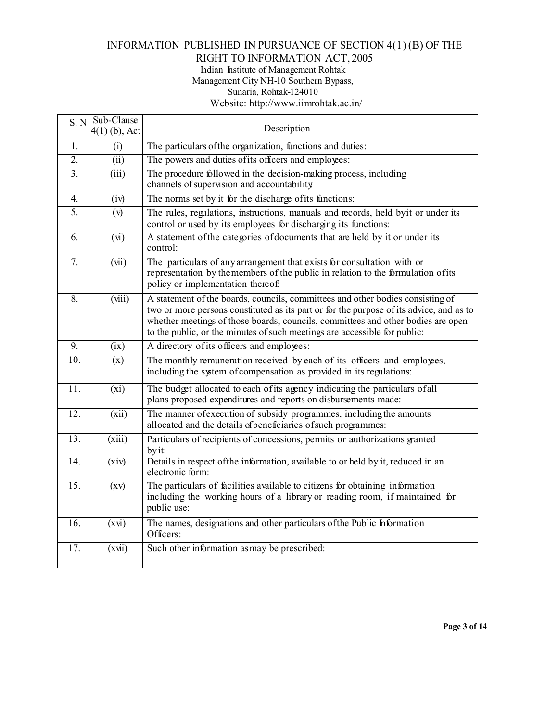# INFORMATION PUBLISHED IN PURSUANCE OF SECTION 4(1) (B) OF THE

# RIGHT TO INFORMATION ACT, 2005

Indian Institute of Management Rohtak Management City NH-10 Southern Bypass, Sunaria, Rohtak-124010

Website: http://www.iimrohtak.ac.in/

|                   | $S. N$ Sub-Clause<br>$4(1)$ (b), Act | Description                                                                                                                                                                                                                                                                                                                                |  |
|-------------------|--------------------------------------|--------------------------------------------------------------------------------------------------------------------------------------------------------------------------------------------------------------------------------------------------------------------------------------------------------------------------------------------|--|
| 1.                | (i)                                  | The particulars of the organization, functions and duties:                                                                                                                                                                                                                                                                                 |  |
| $\overline{2}$ .  | (iii)                                | The powers and duties of its officers and employees:                                                                                                                                                                                                                                                                                       |  |
| 3 <sub>1</sub>    | (iii)                                | The procedure followed in the decision-making process, including<br>channels of supervision and accountability                                                                                                                                                                                                                             |  |
| 4.                | (iv)                                 | The norms set by it for the discharge of its functions:                                                                                                                                                                                                                                                                                    |  |
| $\overline{5}$ .  | (v)                                  | The rules, regulations, instructions, manuals and records, held byit or under its<br>control or used by its employees for discharging its functions:                                                                                                                                                                                       |  |
| 6.                | $(\overline{M})$                     | A statement of the categories of documents that are held by it or under its<br>control:                                                                                                                                                                                                                                                    |  |
| $\overline{7}$ .  | (vii)                                | The particulars of any arrangement that exists for consultation with or<br>representation by the members of the public in relation to the formulation of its<br>policy or implementation thereof.                                                                                                                                          |  |
| $\overline{8}$ .  | (iii)                                | A statement of the boards, councils, committees and other bodies consisting of<br>two or more persons constituted as its part or for the purpose of its advice, and as to<br>whether meetings of those boards, councils, committees and other bodies are open<br>to the public, or the minutes of such meetings are accessible for public: |  |
| 9.                | (ix)                                 | A directory of its officers and employees:                                                                                                                                                                                                                                                                                                 |  |
| 10.               | (x)                                  | The monthly remuneration received by each of its officers and employees,<br>including the system of compensation as provided in its regulations:                                                                                                                                                                                           |  |
| 11.               | (xi)                                 | The budget allocated to each of its agency indicating the particulars of all<br>plans proposed expenditures and reports on disbursements made:                                                                                                                                                                                             |  |
| $\overline{12}$ . | (xii)                                | The manner of execution of subsidy programmes, including the amounts<br>allocated and the details of beneficiaries of such programmes:                                                                                                                                                                                                     |  |
| 13.               | (xiii)                               | Particulars of recipients of concessions, permits or authorizations granted<br>by it:                                                                                                                                                                                                                                                      |  |
| 14.               | (xiv)                                | Details in respect of the information, available to or held by it, reduced in an<br>electronic form:                                                                                                                                                                                                                                       |  |
| 15.               | $\left( xy\right)$                   | The particulars of facilities available to citizens for obtaining information<br>including the working hours of a library or reading room, if maintained for<br>public use:                                                                                                                                                                |  |
| 16.               | (xvi)                                | The names, designations and other particulars of the Public Information<br>Officers:                                                                                                                                                                                                                                                       |  |
| $\overline{17}$ . | $(x\vec{u})$                         | Such other information as may be prescribed:                                                                                                                                                                                                                                                                                               |  |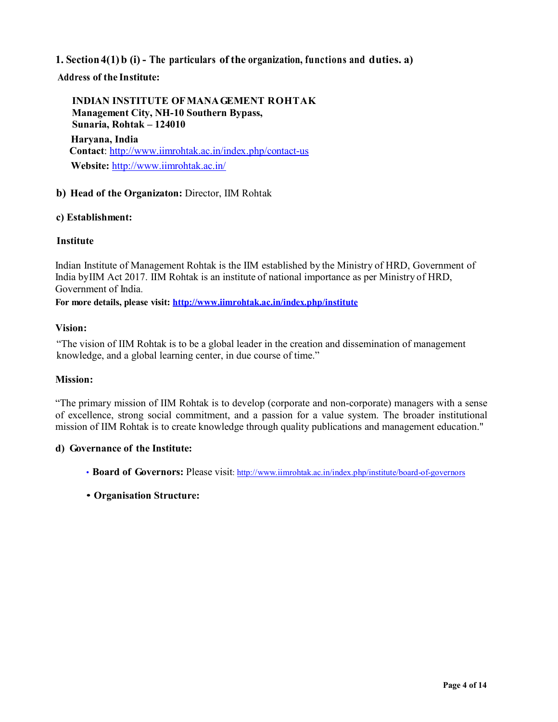# **1. Section4(1) b (i) - The particulars of the organization, functions and duties. a)**

**Address of the Institute:**

**INDIAN INSTITUTE OF MANA GEMENT R OHTAK Management City, NH-10 Southern Bypass, Sunaria, Rohtak – 124010 Haryana, India Contact**: http://www.iimrohtak.ac.in/index.php/contact-us **Website:** http://www.iimrohtak.ac.in/

### **b) Head of the Organizaton:** Director, IIM Rohtak

#### **c) Establishment:**

#### **Institute**

Indian Institute of Management Rohtak is the IIM established by the Ministry of HRD, Government of India by IIM Act 2017. IIM Rohtak is an institute of national importance as per Ministry of HRD, Government of India.

**For more details, please visit: http://www.iimrohtak.ac.in/index.php/institute**

#### **Vision:**

"The vision of IIM Rohtak is to be a global leader in the creation and dissemination of management knowledge, and a global learning center, in due course of time."

#### **Mission:**

"The primary mission of IIM Rohtak is to develop (corporate and non-corporate) managers with a sense of excellence, strong social commitment, and a passion for a value system. The broader institutional mission of IIM Rohtak is to create knowledge through quality publications and management education."

#### **d) Governance of the Institute:**

- **Board of Governors:** Please visit: http://www.iimrohtak.ac.in/index.php/institute/board-of-governors
- **Organisation Structure:**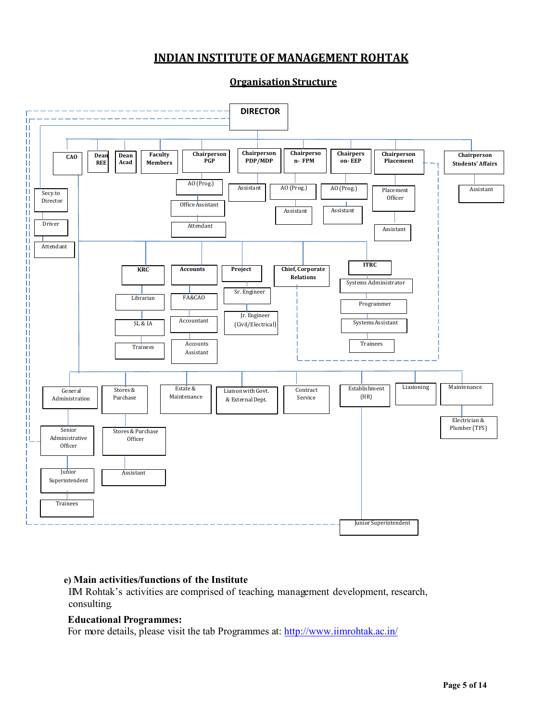# **INDIAN INSTITUTE OF MANAGEMENT ROHTAK**



**Organisation Structure**

## **e) Main activities/functions of the Institute**

IIM Rohtak's activities are comprised of teaching, management development, research, consulting.

#### **Educational Programmes:**

For more details, please visit the tab Programmes at: http://www.iimrohtak.ac.in/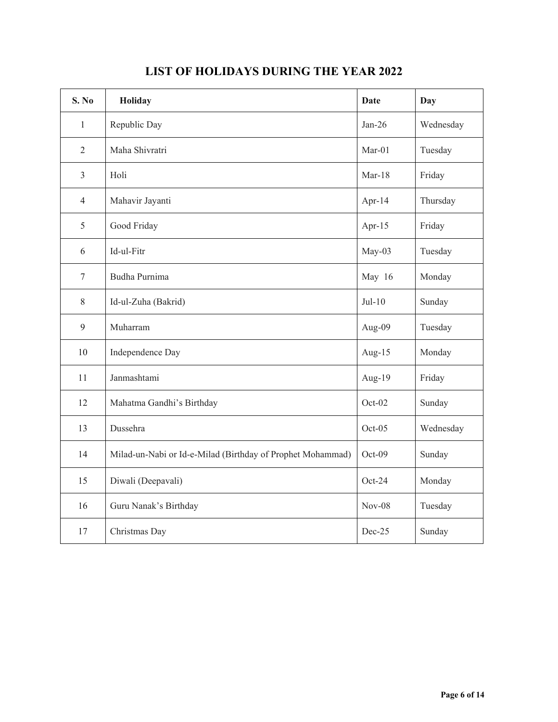| S. No          | Holiday                                                    | <b>Date</b> | <b>Day</b> |
|----------------|------------------------------------------------------------|-------------|------------|
| $\mathbf{1}$   | Republic Day                                               | $Jan-26$    | Wednesday  |
| $\overline{2}$ | Maha Shivratri                                             | $Mar-01$    | Tuesday    |
| $\overline{3}$ | Holi                                                       | $Mar-18$    | Friday     |
| $\overline{4}$ | Mahavir Jayanti                                            | Apr- $14$   | Thursday   |
| 5              | Good Friday                                                | Apr- $15$   | Friday     |
| 6              | Id-ul-Fitr                                                 | May-03      | Tuesday    |
| $\tau$         | Budha Purnima                                              | May 16      | Monday     |
| 8              | Id-ul-Zuha (Bakrid)                                        | $Jul-10$    | Sunday     |
| 9              | Muharram                                                   | Aug-09      | Tuesday    |
| 10             | Independence Day                                           | Aug-15      | Monday     |
| 11             | Janmashtami                                                | Aug-19      | Friday     |
| 12             | Mahatma Gandhi's Birthday                                  | $Oct-02$    | Sunday     |
| 13             | Dussehra                                                   | $Oct-05$    | Wednesday  |
| 14             | Milad-un-Nabi or Id-e-Milad (Birthday of Prophet Mohammad) | Oct-09      | Sunday     |
| 15             | Diwali (Deepavali)                                         | Oct-24      | Monday     |
| 16             | Guru Nanak's Birthday                                      | $Nov-08$    | Tuesday    |
| 17             | Christmas Day                                              | Dec-25      | Sunday     |

# **LIST OF HOLIDAYS DURING THE YEAR 2022**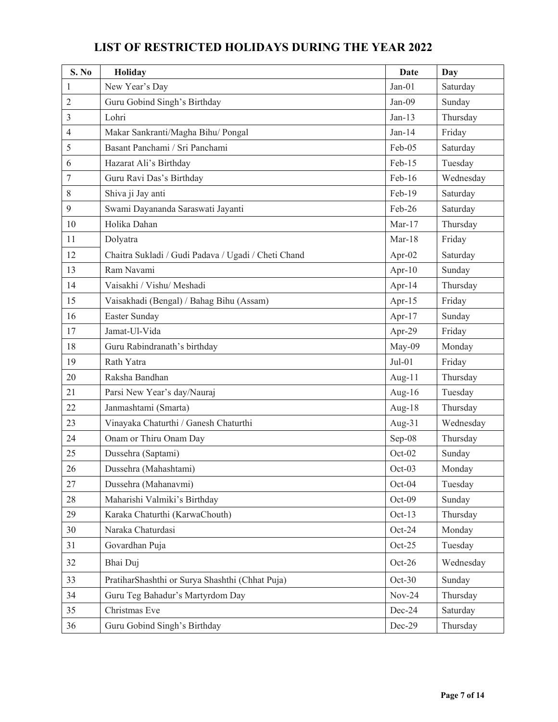| S. No          | Holiday                                             | <b>Date</b> | Day       |
|----------------|-----------------------------------------------------|-------------|-----------|
| 1              | New Year's Day                                      | $Jan-01$    | Saturday  |
| $\overline{2}$ | Guru Gobind Singh's Birthday                        | Jan-09      | Sunday    |
| 3              | Lohri                                               | $Jan-13$    | Thursday  |
| 4              | Makar Sankranti/Magha Bihu/ Pongal                  | $Jan-14$    | Friday    |
| 5              | Basant Panchami / Sri Panchami                      | Feb-05      | Saturday  |
| 6              | Hazarat Ali's Birthday                              | Feb-15      | Tuesday   |
| $\tau$         | Guru Ravi Das's Birthday                            | Feb-16      | Wednesday |
| 8              | Shiva ji Jay anti                                   | Feb-19      | Saturday  |
| 9              | Swami Dayananda Saraswati Jayanti                   | Feb-26      | Saturday  |
| 10             | Holika Dahan                                        | $Mar-17$    | Thursday  |
| 11             | Dolyatra                                            | $Mar-18$    | Friday    |
| 12             | Chaitra Sukladi / Gudi Padava / Ugadi / Cheti Chand | Apr- $02$   | Saturday  |
| 13             | Ram Navami                                          | Apr- $10$   | Sunday    |
| 14             | Vaisakhi / Vishu/ Meshadi                           | Apr-14      | Thursday  |
| 15             | Vaisakhadi (Bengal) / Bahag Bihu (Assam)            | Apr-15      | Friday    |
| 16             | Easter Sunday                                       | Apr-17      | Sunday    |
| 17             | Jamat-Ul-Vida                                       | Apr-29      | Friday    |
| 18             | Guru Rabindranath's birthday                        | May-09      | Monday    |
| 19             | Rath Yatra                                          | $Jul-01$    | Friday    |
| 20             | Raksha Bandhan                                      | Aug-11      | Thursday  |
| 21             | Parsi New Year's day/Nauraj                         | Aug-16      | Tuesday   |
| 22             | Janmashtami (Smarta)                                | Aug-18      | Thursday  |
| 23             | Vinayaka Chaturthi / Ganesh Chaturthi               | Aug-31      | Wednesday |
| 24             | Onam or Thiru Onam Day                              | Sep-08      | Thursday  |
| 25             | Dussehra (Saptami)                                  | $Oct-02$    | Sunday    |
| 26             | Dussehra (Mahashtami)                               | Oct-03      | Monday    |
| 27             | Dussehra (Mahanavmi)                                | Oct-04      | Tuesday   |
| 28             | Maharishi Valmiki's Birthday                        | Oct-09      | Sunday    |
| 29             | Karaka Chaturthi (KarwaChouth)                      | Oct-13      | Thursday  |
| 30             | Naraka Chaturdasi                                   | Oct-24      | Monday    |
| 31             | Govardhan Puja                                      | $Oct-25$    | Tuesday   |
| 32             | Bhai Duj                                            | $Oct-26$    | Wednesday |
| 33             | PratiharShashthi or Surya Shashthi (Chhat Puja)     | $Oct-30$    | Sunday    |
| 34             | Guru Teg Bahadur's Martyrdom Day                    | $Nov-24$    | Thursday  |
| 35             | Christmas Eve                                       | Dec-24      | Saturday  |
| 36             | Guru Gobind Singh's Birthday                        | Dec-29      | Thursday  |

# **LIST OF RESTRICTED HOLIDAYS DURING THE YEAR 2022**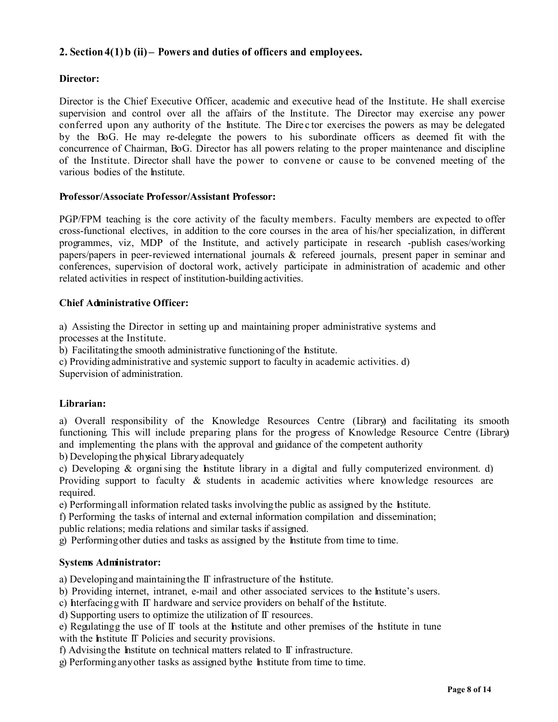# **2. Section 4(1) b (ii) – Powers and duties of officers and employees.**

### **Director:**

Director is the Chief Executive Officer, academic and executive head of the Institute. He shall exercise supervision and control over all the affairs of the Institute. The Director may exercise any power conferred upon any authority of the Institute. The Dire c tor exercises the powers as may be delegated by the BoG. He may re-delegate the powers to his subordinate officers as deemed fit with the concurrence of Chairman, BoG. Director has all powers relating to the proper maintenance and discipline of the Institute. Director shall have the power to convene or cause to be convened meeting of the various bodies of the Institute.

#### **Professor/Associate Professor/Assistant Professor:**

PGP/FPM teaching is the core activity of the faculty members. Faculty members are expected to offer cross-functional electives, in addition to the core courses in the area of his/her specialization, in different programmes, viz, MDP of the Institute, and actively participate in research -publish cases/working papers/papers in peer-reviewed international journals & refereed journals, present paper in seminar and conferences, supervision of doctoral work, actively participate in administration of academic and other related activities in respect of institution-building activities.

### **Chief Administrative Officer:**

a) Assisting the Director in setting up and maintaining proper administrative systems and processes at the Institute.

b) Facilitating the smooth administrative functioning of the Institute.

c) Providing administrative and systemic support to faculty in academic activities. d)

Supervision of administration.

## **Librarian:**

a) Overall responsibility of the Knowledge Resources Centre (Library) and facilitating its smooth functioning. This will include preparing plans for the progress of Knowledge Resource Centre (Library) and implementing the plans with the approval and guidance of the competent authority

b) Developing the physical Library adequately

c) Developing  $\&$  organising the Institute library in a digital and fully computerized environment. d) Providing support to faculty & students in academic activities where knowledge resources are required.

e) Performing all information related tasks involving the public as assigned by the Institute.

f) Performing the tasks of internal and external information compilation and dissemination;

public relations; media relations and similar tasks if assigned.

g) Performing other duties and tasks as assigned by the Institute from time to time.

#### **Systems Administrator:**

a) Developing and maintaining the  $\mathbb T$  infrastructure of the Institute.

b) Providing internet, intranet, e-mail and other associated services to the Institute's users.

c) heterfacing g with IT hardware and service providers on behalf of the histitute.

d) Supporting users to optimize the utilization of IT resources.

e) Regulating g the use of  $\Pi$  tools at the Institute and other premises of the Institute in tune with the Institute  $\Pi$  Policies and security provisions.

f) Advising the Institute on technical matters related to  $\mathbb T$  infrastructure.

g) Performing any other tasks as assigned by the Institute from time to time.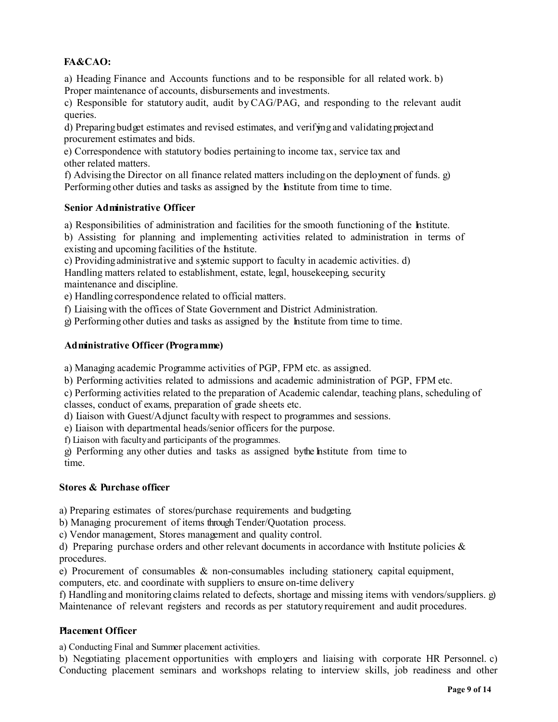# **FA&CAO:**

a) Heading Finance and Accounts functions and to be responsible for all related work. b) Proper maintenance of accounts, disbursements and investments.

c) Responsible for statutory audit, audit by CAG/PAG, and responding to the relevant audit queries.

d) Preparing budget estimates and revised estimates, and verifying and validating project and procurement estimates and bids.

e) Correspondence with statutory bodies pertaining to income tax, service tax and other related matters.

f) Advising the Director on all finance related matters including on the deployment of funds. g) Performing other duties and tasks as assigned by the Institute from time to time.

### **Senior Administrative Officer**

a) Responsibilities of administration and facilities for the smooth functioning of the Institute.

b) Assisting for planning and implementing activities related to administration in terms of existing and upcoming facilities of the Institute.

c) Providing administrative and systemic support to faculty in academic activities. d) Handling matters related to establishment, estate, legal, housekeeping, security, maintenance and discipline.

e) Handling correspondence related to official matters.

f) Liaising with the offices of State Government and District Administration.

g) Performing other duties and tasks as assigned by the Institute from time to time.

### **Administrative Officer (Programme)**

a) Managing academic Programme activities of PGP, FPM etc. as assigned.

b) Performing activities related to admissions and academic administration of PGP, FPM etc.

c) Performing activities related to the preparation of Academic calendar, teaching plans, scheduling of classes, conduct of exams, preparation of grade sheets etc.

d) Liaison with Guest/Adjunct faculty with respect to programmes and sessions.

e) Liaison with departmental heads/senior officers for the purpose.

f) Liaison with faculty and participants of the programmes.

g) Performing any other duties and tasks as assigned by the Institute from time to time.

#### **Stores & Purchase officer**

a) Preparing estimates of stores/purchase requirements and budgeting.

b) Managing procurement of items through Tender/Quotation process.

c) Vendor management, Stores management and quality control.

d) Preparing purchase orders and other relevant documents in accordance with Institute policies  $\&$ procedures.

e) Procurement of consumables  $\&$  non-consumables including stationery, capital equipment, computers, etc. and coordinate with suppliers to ensure on-time deliver y.

f) Handling and monitoring claims related to defects, shortage and missing items with vendors/suppliers. g) Maintenance of relevant registers and records as per statutory requirement and audit procedures.

#### **Placement Officer**

a) Conducting Final and Summer placement activities.

b) Negotiating placement opportunities with employers and liaising with corporate HR Personnel. c) Conducting placement seminars and workshops relating to interview skills, job readiness and other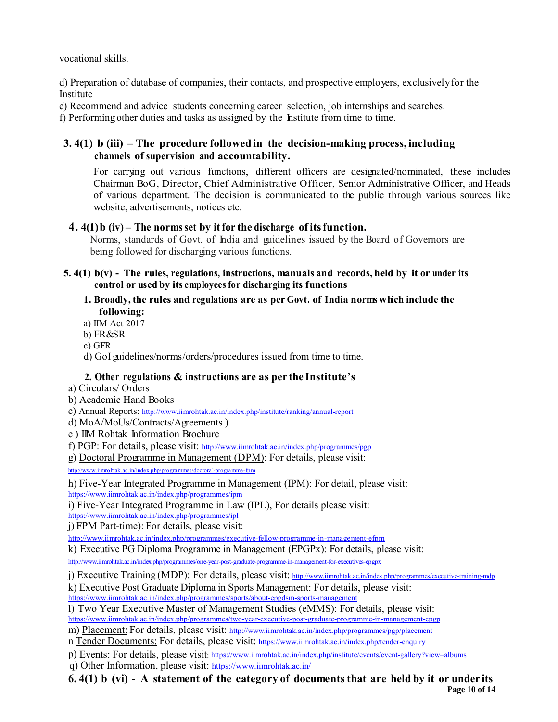vocational skills.

d) Preparation of database of companies, their contacts, and prospective emplo yers, exclusively for the Institute

e) Recommend and advice students concerning career selection, job internships and searches.

f) Performing other duties and tasks as assigned by the Institute from time to time.

# **3. 4(1) b (iii) – The procedure followed in the decision-making process, including channels of supervision and accountability.**

For carrying out various functions, different officers are designated/nominated, these includes Chairman BoG, Director, Chief Administrative Officer, Senior Administrative Officer, and Heads of various department. The decision is communicated to the public through various sources like website, advertisements, notices etc.

# **4. 4(1) b (iv) – The norms set by it for the discharge of itsfunction.**

Norms, standards of Govt. of India and guidelines issued by the Board of Governors are being followed for discharging various functions.

**5. 4(1) b(v) - The rules, regulations, instructions, manuals and records, held by it or under its control or used by its employees for discharging its functions**

## **1. Broadly, the rules and regulations are as per Govt. of India norms which include the following:**

a) IIM Act 2017

b) FR&SR

c) GFR

d) GoI guidelines/norms/orders/procedures issued from time to time.

# **2. Other regulations & instructions are as per the Institute's**

a) Circulars/ Orders

- b) Academic Hand Books
- c) Annual Reports: http://www.ii mrohtak.ac.in/index.php/institute/ranking/annual-report
- d) MoA/MoUs/Contracts/Agreements )
- e ) IIM Rohtak Information Brochure

f) PGP: For details, please visit: http://www.ii mrohtak.ac.in/index.php/programmes/pgp

g) Doctoral Programme in Management (DPM): For details, please visit:

http ://ww w. iimro htak. ac. in/ inde x.p hp/pro gra mmes/doctora l-pro gra mme - fp m

h) Five-Year Integrated Programme in Management (IPM): For detail, please visit: https://www.iimrohtak.ac.in/index.php/programmes/ipm

i) Five-Year Integrated Programme in Law (IPL), For details please visit: https://www.iimrohtak.ac.in/index.php/programmes/ipl

j) FPM Part-time): For details, please visit:

http://www.ii mrohtak.ac.in/index.php/programmes/executive-fellow-programme-in-management-efpm

k) Executive PG Diploma Programme in Management (EPGPx): For details, please visit:

http://www.iimrohtak.ac.in/index.php/programmes/one-year-post-graduate-programme-in-management-for-executives-epgpx

j) Executive Training (MDP): For details, please visit: http://www.iimrohtak.ac.in/index.php/programmes/executive-training-mdp

k) Executive Post Graduate Diploma in Sports Management: For details, please visit:

https://www.iimrohtak.ac.in/index.php/programmes/sports/about-epgdsm-sports-management

l) Two Year Executive Master of Management Studies (eMMS): For details, please visit: https://www.iimrohtak.ac.in/index.php/programmes/two-year-executive-post-graduate-programme-in-management-epgp m) Placement: For details, please visit: http://www.ii mrohtak.ac.in/index.php/programmes/pgp/placement

n Tender Documents: For details, please visit: https://www.iimrohtak.ac.in/index.php/tender-enquiry

p) Events: For details, please visit: https://www.iimrohtak.ac.in/index.php/institute/events/event-gallery?view=albums q) Other Information, please visit: https://www.iimrohtak.ac.in/

**Page 10 of 14 6. 4(1) b (vi) - A statement of the category of documents that are held by it or under its**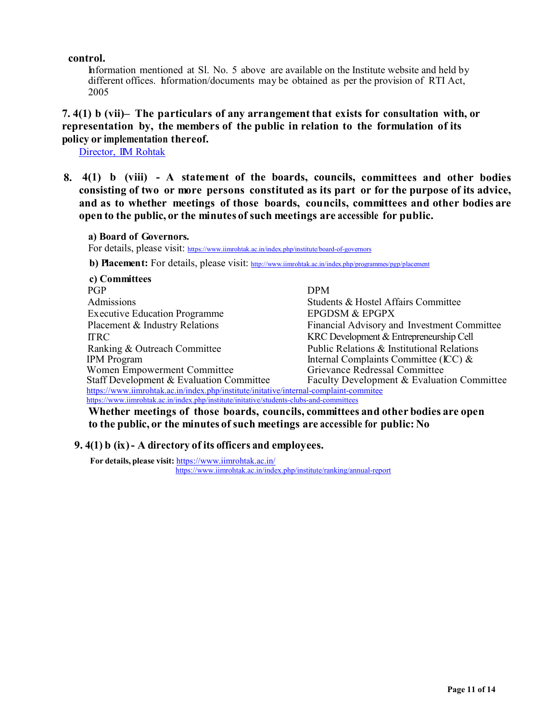#### **control.**

Information mentioned at Sl. No. 5 above are available on the Institute website and held by different offices. Information/documents may be obtained as per the provision of RTI Act, 2005

# **7. 4(1) b (vii)– The particulars of any arrangement that exists for consultation with, or representation by, the members of the public in relation to the formulation of its policy or implementation thereof.**

Director, IIM Rohtak

**8. 4(1) b (viii) - A statement of the boards, councils, committees and other bodies consisting of two or more persons constituted as its part or for the purpose of its advice, and as to whether meetings of those boards, councils, committees and other bodies are open to the public, or the minutes of such meetings are accessible for public.**

#### **a) Board of Governors.**

For details, please visit: https://www.iimrohtak.ac.in/index.php/institute/board-of-governors

**b) Placement:** For details, please visit: http://www.iimrohtak.ac.in/index.php/programmes/pgp/placement

| c) Committees                                                                           |                                             |  |
|-----------------------------------------------------------------------------------------|---------------------------------------------|--|
| <b>PGP</b>                                                                              | <b>DPM</b>                                  |  |
| Admissions                                                                              | Students & Hostel Affairs Committee         |  |
| <b>Executive Education Programme</b>                                                    | <b>EPGDSM &amp; EPGPX</b>                   |  |
| Placement & Industry Relations                                                          | Financial Advisory and Investment Committee |  |
| <b>ITRC</b>                                                                             | KRC Development & Entrepreneurship Cell     |  |
| Ranking & Outreach Committee                                                            | Public Relations & Institutional Relations  |  |
| <b>IPM</b> Program                                                                      | Internal Complaints Committee (ICC) $\&$    |  |
| Women Empowerment Committee                                                             | Grievance Redressal Committee               |  |
| Staff Development & Evaluation Committee                                                | Faculty Development & Evaluation Committee  |  |
| https://www.iimrohtak.ac.in/index.php/institute/initative/internal-complaint-commitee   |                                             |  |
| https://www.iimrohtak.ac.in/index.php/institute/initative/students-clubs-and-committees |                                             |  |

**Whether meetings of those boards, councils, committees and other bodies are open to the public, or the minutes of such meetings are accessible for public: No**

## **9. 4(1) b (ix) - A directory of its officers and employees.**

**For details, please visit:** https://www.iimrohtak.ac.in/ https://www.iimrohtak.ac.in/index.php/institute/ranking/annual-report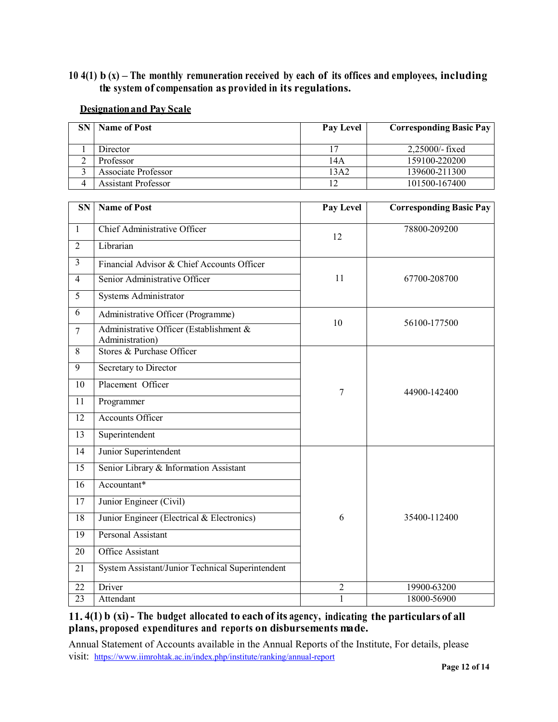# **10 4(1) b (x) – The monthly remuneration received by each of its offices and employees, including the system of compensation as provided in its regulations.**

### **Designation and Pay Scale**

| SN | <b>Name of Post</b> | Pay Level | <b>Corresponding Basic Pay</b> |
|----|---------------------|-----------|--------------------------------|
|    | Director            | 17        | $2,25000$ /-fixed              |
| ∠  | Professor           | 14A       | 159100-220200                  |
|    | Associate Professor | 13A2      | 139600-211300                  |
|    | Assistant Professor | 12        | 101500-167400                  |

| $\overline{\text{SN}}$ | <b>Name of Post</b>                                        | Pay Level      | <b>Corresponding Basic Pay</b> |  |
|------------------------|------------------------------------------------------------|----------------|--------------------------------|--|
| $\mathbf{1}$           | <b>Chief Administrative Officer</b>                        | 12             | 78800-209200                   |  |
| $\overline{2}$         | Librarian                                                  |                |                                |  |
| $\overline{3}$         | Financial Advisor & Chief Accounts Officer                 |                |                                |  |
| $\overline{4}$         | Senior Administrative Officer                              | 11             | 67700-208700                   |  |
| $\overline{5}$         | <b>Systems Administrator</b>                               |                |                                |  |
| 6                      | Administrative Officer (Programme)                         |                |                                |  |
| $\overline{7}$         | Administrative Officer (Establishment &<br>Administration) | 10             | 56100-177500                   |  |
| $\overline{8}$         | Stores & Purchase Officer                                  |                |                                |  |
| $\overline{9}$         | Secretary to Director                                      |                |                                |  |
| 10                     | Placement Officer                                          | 7              | 44900-142400                   |  |
| 11                     | Programmer                                                 |                |                                |  |
| 12                     | <b>Accounts Officer</b>                                    |                |                                |  |
| 13                     | Superintendent                                             |                |                                |  |
| $\overline{14}$        | Junior Superintendent                                      |                |                                |  |
| 15                     | Senior Library & Information Assistant                     |                |                                |  |
| 16                     | Accountant*                                                |                |                                |  |
| $\overline{17}$        | Junior Engineer (Civil)                                    |                |                                |  |
| $\overline{18}$        | Junior Engineer (Electrical & Electronics)                 | 6              | 35400-112400                   |  |
| 19                     | <b>Personal Assistant</b>                                  |                |                                |  |
| 20                     | <b>Office Assistant</b>                                    |                |                                |  |
| 21                     | System Assistant/Junior Technical Superintendent           |                |                                |  |
| $\overline{22}$        | Driver                                                     | $\overline{2}$ | 19900-63200                    |  |
| $\overline{23}$        | Attendant                                                  | $\mathbf{1}$   | 18000-56900                    |  |

# **11. 4(1) b (xi) - The budget allocated to each of its agency, indicating the particulars of all plans, proposed expenditures and reports on disbursements made.**

Annual Statement of Accounts available in the Annual Reports of the Institute, For details, please visit: https://www.iimrohtak.ac.in/index.php/institute/ranking/annual-report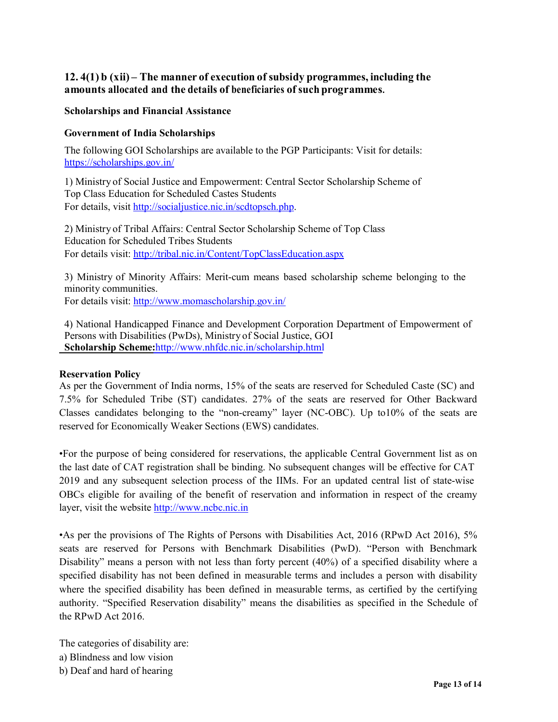# **12. 4(1) b (xii) – The manner of execution of subsidy programmes, including the amounts allocated and the details of beneficiaries of such programmes.**

#### **Scholarships and Financial Assistance**

### **Government of India Scholarships**

The following GOI Scholarships are available to the PGP Participants: Visit for details: https://scholarships.gov.in/

1) Ministry of Social Justice and Empowerment: Central Sector Scholarship Scheme of Top Class Education for Scheduled Castes Students For details, visit http://socialjustice.nic.in/scdtopsch.php.

2) Ministry of Tribal Affairs: Central Sector Scholarship Scheme of Top Class Education for Scheduled Tribes Students For details visit: http://tribal.nic.in/Content/TopClassEducation.aspx

3) Ministry of Minority Affairs: Merit-cum means based scholarship scheme belonging to the minority communities.

For details visit: http://www.momascholarship.gov.in/

4) National Handicapped Finance and Development Corporation Department of Empowerment of Persons with Disabilities (PwDs), Ministry of Social Justice, GOI **Scholarship Scheme:**http://www.nhfdc.nic.in/scholarship.html

#### **Reservation Policy**

As per the Government of India norms, 15% of the seats are reserved for Scheduled Caste (SC) and 7.5% for Scheduled Tribe (ST) candidates. 27% of the seats are reserved for Other Backward Classes candidates belonging to the "non-creamy" layer (NC-OBC). Up to10% of the seats are reserved for Economically Weaker Sections (EWS) candidates.

•For the purpose of being considered for reservations, the applicable Central Government list as on the last date of CAT registration shall be binding. No subsequent changes will be effective for CAT 2019 and any subsequent selection process of the IIMs. For an updated central list of state-wise OBCs eligible for availing of the benefit of reservation and information in respect of the creamy layer, visit the website http://www.ncbc.nic.in

•As per the provisions of The Rights of Persons with Disabilities Act, 2016 (RPwD Act 2016), 5% seats are reserved for Persons with Benchmark Disabilities (PwD). "Person with Benchmark Disability" means a person with not less than forty percent (40%) of a specified disability where a specified disability has not been defined in measurable terms and includes a person with disability where the specified disability has been defined in measurable terms, as certified by the certifying authority. "Specified Reservation disability" means the disabilities as specified in the Schedule of the RPwD Act 2016.

The categories of disability are: a) Blindness and low vision b) Deaf and hard of hearing